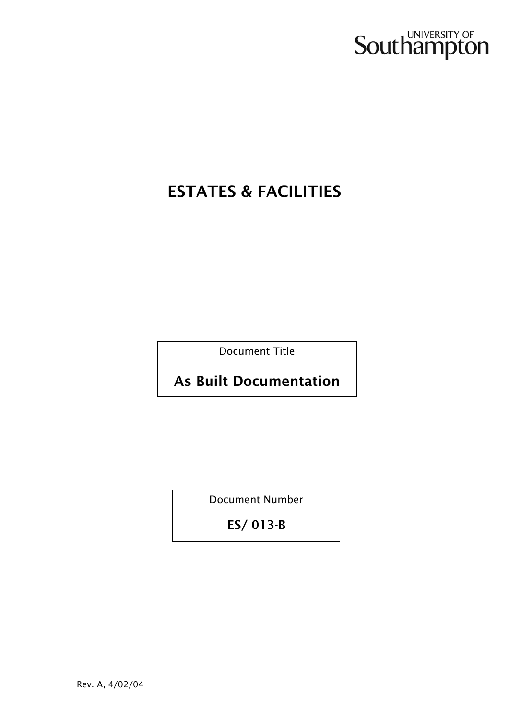

# ESTATES & FACILITIES

Document Title

As Built Documentation

Document Number

ES/ 013-B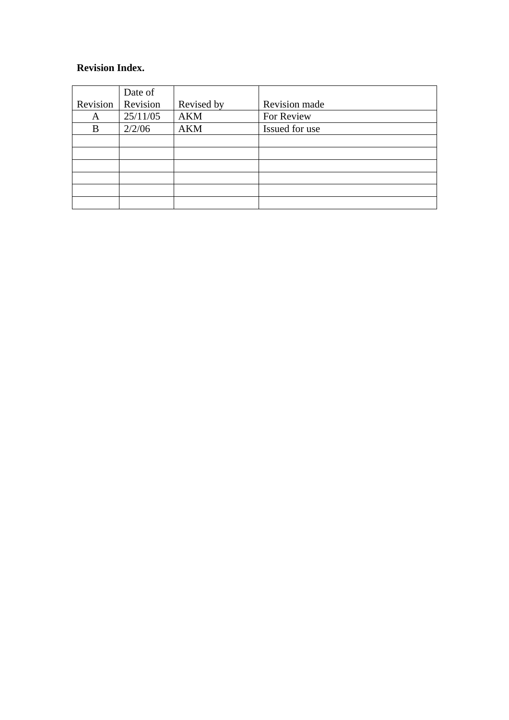## **Revision Index.**

|          | Date of  |            |                |
|----------|----------|------------|----------------|
| Revision | Revision | Revised by | Revision made  |
| A        | 25/11/05 | <b>AKM</b> | For Review     |
| B        | 2/2/06   | <b>AKM</b> | Issued for use |
|          |          |            |                |
|          |          |            |                |
|          |          |            |                |
|          |          |            |                |
|          |          |            |                |
|          |          |            |                |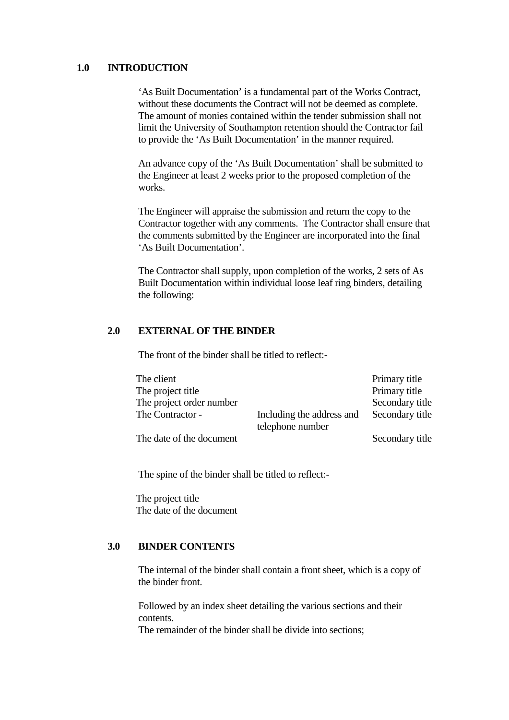#### **1.0 INTRODUCTION**

'As Built Documentation' is a fundamental part of the Works Contract, without these documents the Contract will not be deemed as complete. The amount of monies contained within the tender submission shall not limit the University of Southampton retention should the Contractor fail to provide the 'As Built Documentation' in the manner required.

An advance copy of the 'As Built Documentation' shall be submitted to the Engineer at least 2 weeks prior to the proposed completion of the works.

The Engineer will appraise the submission and return the copy to the Contractor together with any comments. The Contractor shall ensure that the comments submitted by the Engineer are incorporated into the final 'As Built Documentation'.

The Contractor shall supply, upon completion of the works, 2 sets of As Built Documentation within individual loose leaf ring binders, detailing the following:

#### **2.0 EXTERNAL OF THE BINDER**

The front of the binder shall be titled to reflect:-

| The client               |                           | Primary title   |
|--------------------------|---------------------------|-----------------|
| The project title        |                           | Primary title   |
| The project order number |                           | Secondary title |
| The Contractor -         | Including the address and | Secondary title |
|                          | telephone number          |                 |
| The date of the document |                           | Secondary title |

The spine of the binder shall be titled to reflect:-

The project title The date of the document

#### **3.0 BINDER CONTENTS**

The internal of the binder shall contain a front sheet, which is a copy of the binder front.

Followed by an index sheet detailing the various sections and their contents.

The remainder of the binder shall be divide into sections;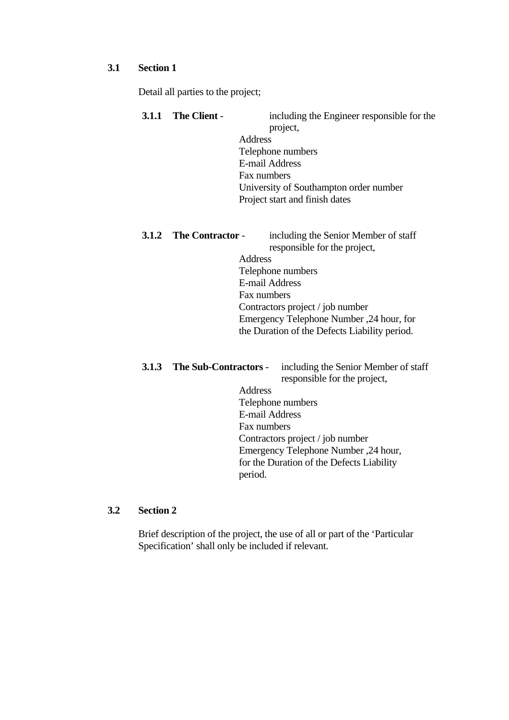#### **3.1 Section 1**

Detail all parties to the project;

**3.1.1 The Client** - including the Engineer responsible for the project, Address Telephone numbers E-mail Address Fax numbers University of Southampton order number Project start and finish dates

# **3.1.2** The Contractor - including the Senior Member of staff

responsible for the project, Address Telephone numbers E-mail Address Fax numbers Contractors project / job number Emergency Telephone Number ,24 hour, for the Duration of the Defects Liability period.

# **3.1.3 The Sub-Contractors** - including the Senior Member of staff

responsible for the project, Address Telephone numbers

E-mail Address Fax numbers Contractors project / job number Emergency Telephone Number ,24 hour, for the Duration of the Defects Liability period.

## **3.2 Section 2**

Brief description of the project, the use of all or part of the 'Particular Specification' shall only be included if relevant.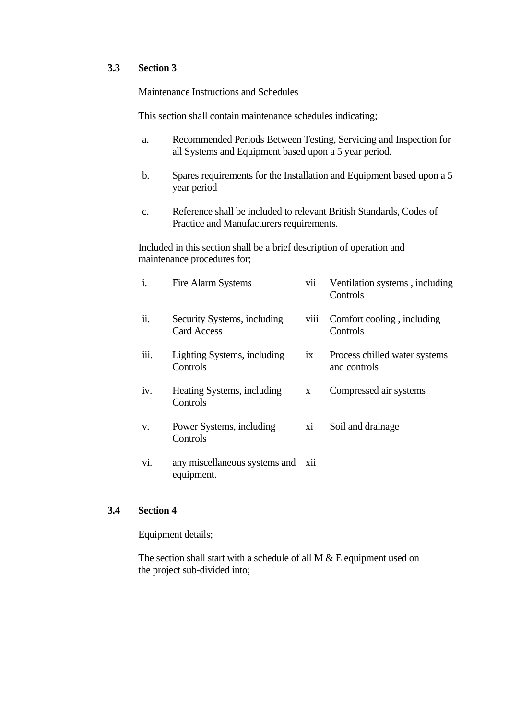### **3.3 Section 3**

Maintenance Instructions and Schedules

This section shall contain maintenance schedules indicating;

- a. Recommended Periods Between Testing, Servicing and Inspection for all Systems and Equipment based upon a 5 year period.
- b. Spares requirements for the Installation and Equipment based upon a 5 year period
- c. Reference shall be included to relevant British Standards, Codes of Practice and Manufacturers requirements.

Included in this section shall be a brief description of operation and maintenance procedures for;

| i.   | <b>Fire Alarm Systems</b>                         | vii             | Ventilation systems, including<br>Controls    |
|------|---------------------------------------------------|-----------------|-----------------------------------------------|
| ii.  | Security Systems, including<br><b>Card Access</b> | viii            | Comfort cooling, including<br>Controls        |
| iii. | Lighting Systems, including<br>Controls           | $\overline{1}X$ | Process chilled water systems<br>and controls |
| iv.  | Heating Systems, including<br>Controls            | X               | Compressed air systems                        |
| V.   | Power Systems, including<br>Controls              | xi              | Soil and drainage                             |
| vi.  | any miscellaneous systems and xii<br>equipment.   |                 |                                               |

## **3.4 Section 4**

Equipment details;

The section shall start with a schedule of all M & E equipment used on the project sub-divided into;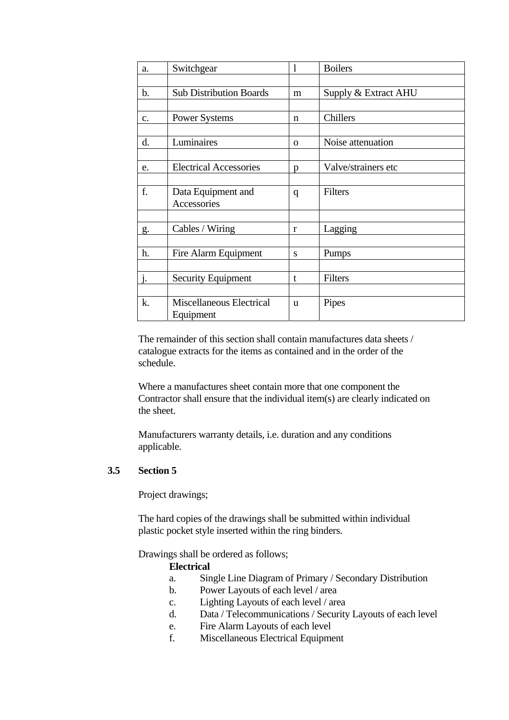| a.             | Switchgear                     | 1            | <b>Boilers</b>       |
|----------------|--------------------------------|--------------|----------------------|
|                |                                |              |                      |
| $\mathbf{b}$ . | <b>Sub Distribution Boards</b> | m            | Supply & Extract AHU |
|                |                                |              |                      |
| c.             | <b>Power Systems</b>           | n            | <b>Chillers</b>      |
|                |                                |              |                      |
| d.             | Luminaires                     | $\mathbf{O}$ | Noise attenuation    |
|                |                                |              |                      |
| e.             | <b>Electrical Accessories</b>  | p            | Valve/strainers etc  |
|                |                                |              |                      |
| f.             | Data Equipment and             | $\mathbf q$  | Filters              |
|                | Accessories                    |              |                      |
| g.             | Cables / Wiring                | r            | Lagging              |
|                |                                |              |                      |
| h.             | Fire Alarm Equipment           | S            | Pumps                |
|                |                                |              |                      |
| j.             | <b>Security Equipment</b>      | t            | Filters              |
|                |                                |              |                      |
| k.             | Miscellaneous Electrical       | u            | Pipes                |
|                | Equipment                      |              |                      |

The remainder of this section shall contain manufactures data sheets / catalogue extracts for the items as contained and in the order of the schedule.

Where a manufactures sheet contain more that one component the Contractor shall ensure that the individual item(s) are clearly indicated on the sheet.

Manufacturers warranty details, i.e. duration and any conditions applicable.

## **3.5 Section 5**

Project drawings;

The hard copies of the drawings shall be submitted within individual plastic pocket style inserted within the ring binders.

Drawings shall be ordered as follows;

## **Electrical**

- a. Single Line Diagram of Primary / Secondary Distribution
- b. Power Layouts of each level / area
- c. Lighting Layouts of each level / area
- d. Data / Telecommunications / Security Layouts of each level
- e. Fire Alarm Layouts of each level
- f. Miscellaneous Electrical Equipment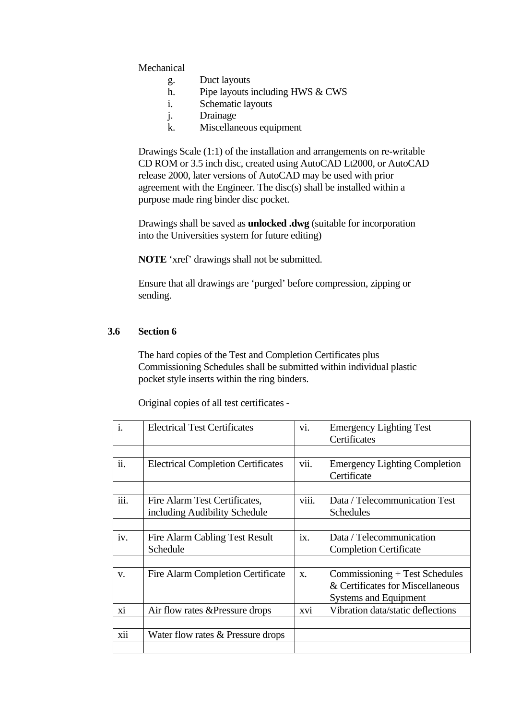Mechanical

- g. Duct layouts
- h. Pipe layouts including HWS & CWS
- i. Schematic layouts
- j. Drainage
- k. Miscellaneous equipment

Drawings Scale (1:1) of the installation and arrangements on re-writable CD ROM or 3.5 inch disc, created using AutoCAD Lt2000, or AutoCAD release 2000, later versions of AutoCAD may be used with prior agreement with the Engineer. The disc(s) shall be installed within a purpose made ring binder disc pocket.

Drawings shall be saved as **unlocked .dwg** (suitable for incorporation into the Universities system for future editing)

**NOTE** 'xref' drawings shall not be submitted.

Ensure that all drawings are 'purged' before compression, zipping or sending.

## **3.6 Section 6**

The hard copies of the Test and Completion Certificates plus Commissioning Schedules shall be submitted within individual plastic pocket style inserts within the ring binders.

Original copies of all test certificates -

| $\overline{i}$ . | <b>Electrical Test Certificates</b>                            | vi.         | <b>Emergency Lighting Test</b><br>Certificates                                                     |
|------------------|----------------------------------------------------------------|-------------|----------------------------------------------------------------------------------------------------|
|                  |                                                                |             |                                                                                                    |
| ii.              | <b>Electrical Completion Certificates</b>                      | vii.        | <b>Emergency Lighting Completion</b><br>Certificate                                                |
|                  |                                                                |             |                                                                                                    |
| iii.             | Fire Alarm Test Certificates,<br>including Audibility Schedule | viii.       | Data / Telecommunication Test<br><b>Schedules</b>                                                  |
|                  |                                                                |             |                                                                                                    |
| iv.              | Fire Alarm Cabling Test Result<br>Schedule                     | ix.         | Data / Telecommunication<br><b>Completion Certificate</b>                                          |
|                  |                                                                |             |                                                                                                    |
| V.               | Fire Alarm Completion Certificate                              | $X_{\cdot}$ | Commissioning + Test Schedules<br>& Certificates for Miscellaneous<br><b>Systems and Equipment</b> |
| xi               | Air flow rates & Pressure drops                                | xvi         | Vibration data/static deflections                                                                  |
|                  |                                                                |             |                                                                                                    |
| xii              | Water flow rates & Pressure drops                              |             |                                                                                                    |
|                  |                                                                |             |                                                                                                    |